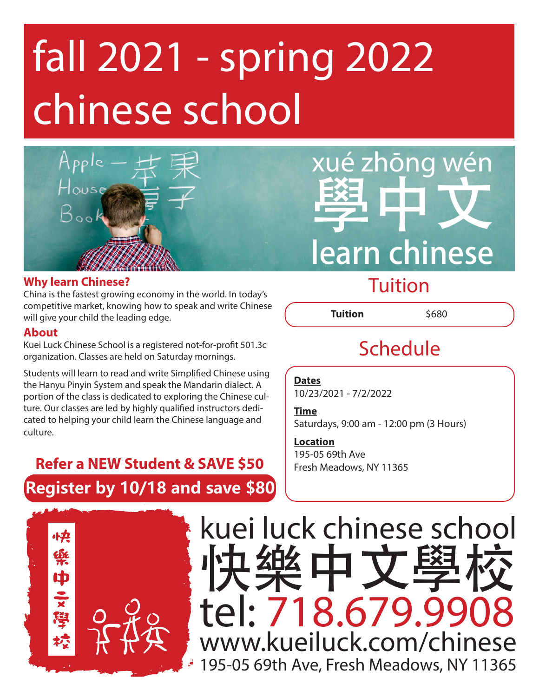# fall 2021 - spring 2022 chinese school



# é zhōng wén 學中文 learn chinese

#### **Why learn Chinese?**

China is the fastest growing economy in the world. In today's competitive market, knowing how to speak and write Chinese will give your child the leading edge.

#### **About**

Kuei Luck Chinese School is a registered not-for-profit 501.3c organization. Classes are held on Saturday mornings.

Students will learn to read and write Simplified Chinese using the Hanyu Pinyin System and speak the Mandarin dialect. A portion of the class is dedicated to exploring the Chinese culture. Our classes are led by highly qualified instructors dedicated to helping your child learn the Chinese language and culture.

## **Register by 10/18 and save \$80 Refer a NEW Student & SAVE \$50**

## **Tuition**

**Tuition** \$680

## Schedule

#### **Dates**

10/23/2021 - 7/2/2022

#### **Time** Saturdays, 9:00 am - 12:00 pm (3 Hours)

**Location** 195-05 69th Ave Fresh Meadows, NY 11365